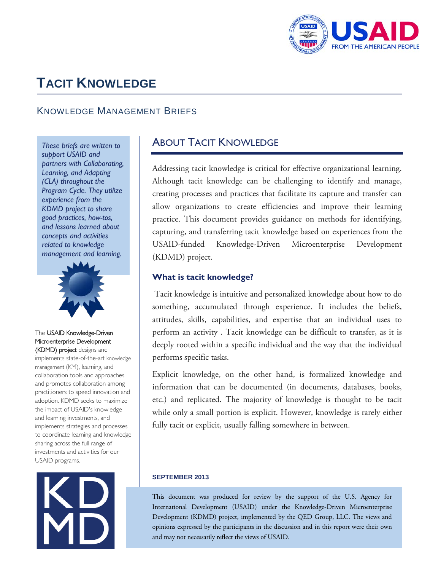

# **TACIT KNOWLEDGE**

# KNOWLEDGE MANAGEMENT BRIEFS

 *These briefs are written to support USAID and partners with Collaborating, Learning, and Adapting (CLA) throughout the Program Cycle. They utilize experience from the KDMD project to share good practices, how-tos, and lessons learned about concepts and activities related to knowledge management and learning.* 



#### The USAID Knowledge-Driven Microenterprise Development (KDMD) project designs and

implements state-of-the-art knowledge management (KM), learning, and collaboration tools and approaches and promotes collaboration among practitioners to speed innovation and adoption. KDMD seeks to maximize the impact of USAID's knowledge and learning investments, and implements strategies and processes to coordinate learning and knowledge sharing across the full range of investments and activities for our USAID programs.



# ABOUT TACIT KNOWLEDGE

 practice. This document provides guidance on methods for identifying, Addressing tacit knowledge is critical for effective organizational learning. Although tacit knowledge can be challenging to identify and manage, creating processes and practices that facilitate its capture and transfer can allow organizations to create efficiencies and improve their learning capturing, and transferring tacit knowledge based on experiences from the USAID-funded Knowledge-Driven Microenterprise Development (KDMD) project.

#### **What is tacit knowledge?**

 something, accumulated through experience. It includes the beliefs, deeply rooted within a specific individual and the way that the individual Tacit knowledge is intuitive and personalized knowledge about how to do attitudes, skills, capabilities, and expertise that an individual uses to perform an activity . Tacit knowledge can be difficult to transfer, as it is performs specific tasks.

 Explicit knowledge, on the other hand, is formalized knowledge and information that can be documented (in documents, databases, books, etc.) and replicated. The majority of knowledge is thought to be tacit while only a small portion is explicit. However, knowledge is rarely either fully tacit or explicit, usually falling somewhere in between.

#### **SEPTEMBER 2013**

 opinions expressed by the participants in the discussion and in this report were their own This document was produced for review by the support of the U.S. Agency for International Development (USAID) under the Knowledge-Driven Microenterprise Development (KDMD) project, implemented by the QED Group, LLC. The views and and may not necessarily reflect the views of USAID.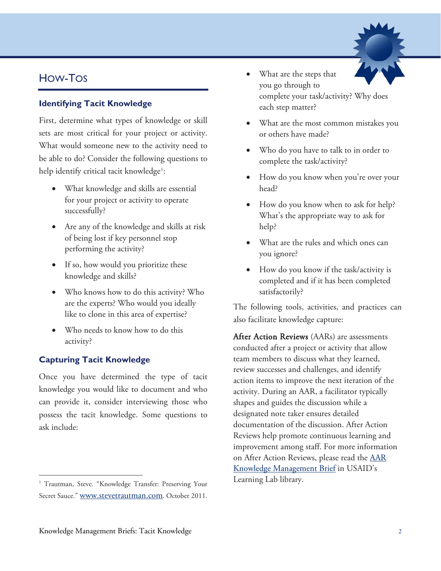# HOW-TOS

## **Identifying Tacit Knowledge**

 What would someone new to the activity need to First, determine what types of knowledge or skill sets are most critical for your project or activity. be able to do? Consider the following questions to help identify critical tacit knowledge<sup>1</sup>:

- What knowledge and skills are essential for your project or activity to operate successfully?
- Are any of the knowledge and skills at risk of being lost if key personnel stop performing the activity?
- • If so, how would you prioritize these knowledge and skills?
- • Who knows how to do this activity? Who are the experts? Who would you ideally like to clone in this area of expertise?
- • Who needs to know how to do this activity?

# **Capturing Tacit Knowledge**

 Once you have determined the type of tacit knowledge you would like to document and who can provide it, consider interviewing those who possess the tacit knowledge. Some questions to ask include:

- What are the steps that you go through to complete your task/activity? Why does each step matter?
- What are the most common mistakes you or others have made?
- Who do you have to talk to in order to complete the task/activity?
- How do you know when you're over your head?
- How do you know when to ask for help? What's the appropriate way to ask for help?
- What are the rules and which ones can you ignore?
- How do you know if the task/activity is completed and if it has been completed satisfactorily?

The following tools, activities, and practices can also facilitate knowledge capture:

 documentation of the discussion. After Action improvement among staff. For more information [Knowledge Management Brief](http://usaidlearninglab.org/library/after-action-review-aar-guidance-0) in USAID's After Action Reviews (AARs) are assessments conducted after a project or activity that allow team members to discuss what they learned, review successes and challenges, and identify action items to improve the next iteration of the activity. During an AAR, a facilitator typically shapes and guides the discussion while a designated note taker ensures detailed Reviews help promote continuous learning and on After Action Reviews, please read the [AAR](http://usaidlearninglab.org/library/after-action-review-aar-guidance-0)  Learning Lab library.

<sup>&</sup>lt;sup>1</sup> Trautman, Steve. "Knowledge Transfer: Preserving Your Secret Sauce.[" www.stevetrautman.com.](http://www.stevetrautman.com/) October 2011.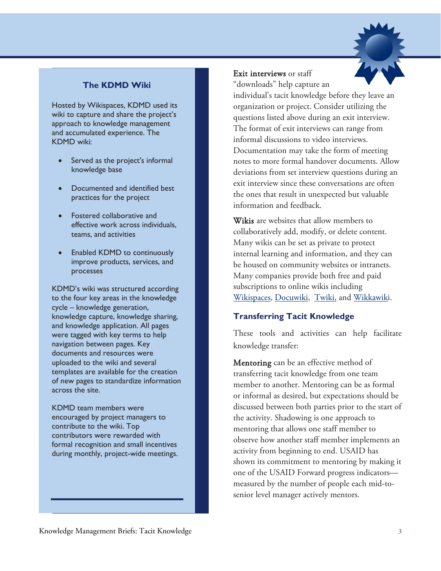

# **The KDMD Wiki**

Hosted by Wikispaces, KDMD used its wiki to capture and share the project's approach to knowledge management and accumulated experience. The KDMD wiki:

- Served as the project's informal knowledge base
- Documented and identified best practices for the project
- Fostered collaborative and effective work across individuals, teams, and activities
- Enabled KDMD to continuously improve products, services, and processes

 were tagged with key terms to help templates are available for the creation KDMD's wiki was structured according to the four key areas in the knowledge cycle – knowledge generation, knowledge capture, knowledge sharing, and knowledge application. All pages navigation between pages. Key documents and resources were uploaded to the wiki and several of new pages to standardize information across the site.

 KDMD team members were contribute to the wiki. Top contributors were rewarded with encouraged by project managers to formal recognition and small incentives during monthly, project-wide meetings.

### Exit interviews or staff

"downloads" help capture an

 organization or project. Consider utilizing the The format of exit interviews can range from individual's tacit knowledge before they leave an questions listed above during an exit interview. informal discussions to video interviews. Documentation may take the form of meeting notes to more formal handover documents. Allow deviations from set interview questions during an exit interview since these conversations are often the ones that result in unexpected but valuable information and feedback.

 Many wikis can be set as private to protect internal learning and information, and they can Wikis are websites that allow members to collaboratively add, modify, or delete content. be housed on community websites or intranets. Many companies provide both free and paid subscriptions to online wikis including [Wikispaces,](http://www.wikispaces.com/) [Docuwiki,](https://www.dokuwiki.org/dokuwiki) [Twiki,](http://twiki.org/) and [Wikkawiki](http://wikkawiki.org/HomePage).

#### **Transferring Tacit Knowledge**

These tools and activities can help facilitate knowledge transfer:

**Mentoring** can be an effective method of transferring tacit knowledge from one team measured by the number of people each mid-tomember to another. Mentoring can be as formal or informal as desired, but expectations should be discussed between both parties prior to the start of the activity. Shadowing is one approach to mentoring that allows one staff member to observe how another staff member implements an activity from beginning to end. USAID has shown its commitment to mentoring by making it one of the USAID Forward progress indicators senior level manager actively mentors.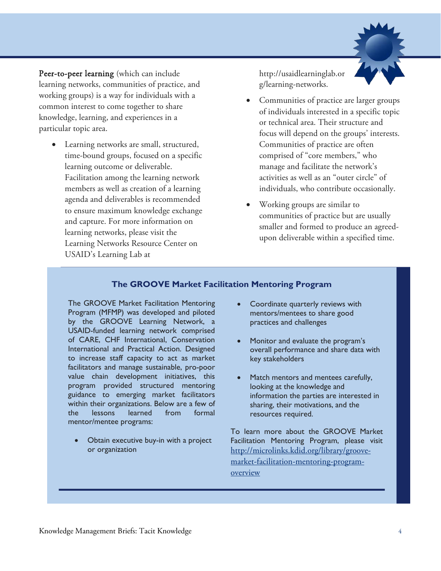

 Peer-to-peer learning (which can include learning networks, communities of practice, and working groups) is a way for individuals with a common interest to come together to share knowledge, learning, and experiences in a particular topic area.

• Learning networks are small, structured, time-bound groups, focused on a specific learning outcome or deliverable. Facilitation among the learning network members as well as creation of a learning agenda and deliverables is recommended to ensure maximum knowledge exchange and capture. For more information on learning networks, please visit the Learning Networks Resource Center on USAID's Learning Lab at

[http://usaidlearninglab.or](http://usaidlearninglab.org/learning-networks)  [g/learning-networks.](http://usaidlearninglab.org/learning-networks)

- focus will depend on the groups' interests. Communities of practice are often manage and facilitate the network's Communities of practice are larger groups of individuals interested in a specific topic or technical area. Their structure and comprised of "core members," who activities as well as an "outer circle" of individuals, who contribute occasionally.
- communities of practice but are usually upon deliverable within a specified time. Working groups are similar to smaller and formed to produce an agreed-

#### **The GROOVE Market Facilitation Mentoring Program**

 Program (MFMP) was developed and piloted by the GROOVE Learning Network, a International and Practical Action. Designed facilitators and manage sustainable, pro-poor within their organizations. Below are a few of mentor/mentee programs: The GROOVE Market Facilitation Mentoring USAID-funded learning network comprised of CARE, CHF International, Conservation to increase staff capacity to act as market value chain development initiatives, this program provided structured mentoring guidance to emerging market facilitators the lessons learned from formal

Obtain executive buy-in with a project or organization

- Coordinate quarterly reviews with mentors/mentees to share good practices and challenges
- Monitor and evaluate the program's overall performance and share data with key stakeholders
- Match mentors and mentees carefully, looking at the knowledge and information the parties are interested in sharing, their motivations, and the resources required.

 Facilitation Mentoring Program, please visit overview To learn more about the GROOVE Market [http://microlinks.kdid.org/library/groove](http://microlinks.kdid.org/library/groove-market-facilitation-mentoring-program-overview)[market-facilitation-mentoring-program](http://microlinks.kdid.org/library/groove-market-facilitation-mentoring-program-overview)[overview](http://microlinks.kdid.org/library/groove-market-facilitation-mentoring-program-overview) Knowledge Management Briefs: Tacit Knowledge 4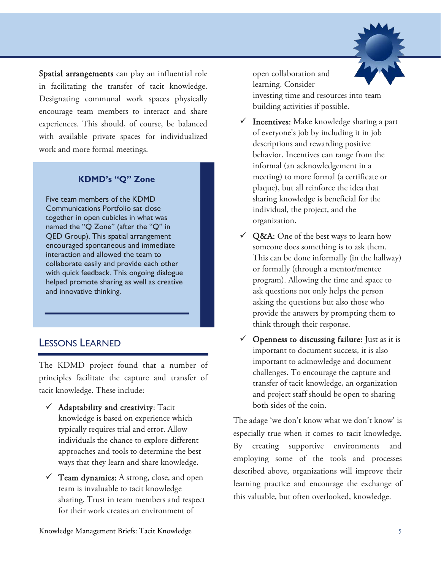

Spatial arrangements can play an influential role in facilitating the transfer of tacit knowledge. Designating communal work spaces physically encourage team members to interact and share experiences. This should, of course, be balanced with available private spaces for individualized work and more formal meetings.

# **KDMD's "Q" Zone**

 collaborate easily and provide each other and innovative thinking. Five team members of the KDMD Communications Portfolio sat close together in open cubicles in what was named the "Q Zone" (after the "Q" in QED Group). This spatial arrangement encouraged spontaneous and immediate interaction and allowed the team to with quick feedback. This ongoing dialogue helped promote sharing as well as creative

# LESSONS LEARNED.

The KDMD project found that a number of principles facilitate the capture and transfer of tacit knowledge. These include:

- $\checkmark$  Adaptability and creativity: Tacit knowledge is based on experience which typically requires trial and error. Allow individuals the chance to explore different approaches and tools to determine the best ways that they learn and share knowledge.
- $\checkmark$  Team dynamics: A strong, close, and open team is invaluable to tacit knowledge sharing. Trust in team members and respect for their work creates an environment of

open collaboration and learning. Consider investing time and resources into team building activities if possible.

- $\checkmark$  Incentives: Make knowledge sharing a part of everyone's job by including it in job descriptions and rewarding positive behavior. Incentives can range from the informal (an acknowledgement in a meeting) to more formal (a certificate or plaque), but all reinforce the idea that sharing knowledge is beneficial for the individual, the project, and the organization.
- $\checkmark$  Q&A: One of the best ways to learn how This can be done informally (in the hallway) someone does something is to ask them. or formally (through a mentor/mentee program). Allowing the time and space to ask questions not only helps the person asking the questions but also those who provide the answers by prompting them to think through their response.
- and project staff should be open to sharing  $\checkmark$  Openness to discussing failure: Just as it is important to document success, it is also important to acknowledge and document challenges. To encourage the capture and transfer of tacit knowledge, an organization both sides of the coin.

The adage 'we don't know what we don't know' is especially true when it comes to tacit knowledge. By creating supportive environments and employing some of the tools and processes described above, organizations will improve their learning practice and encourage the exchange of this valuable, but often overlooked, knowledge.